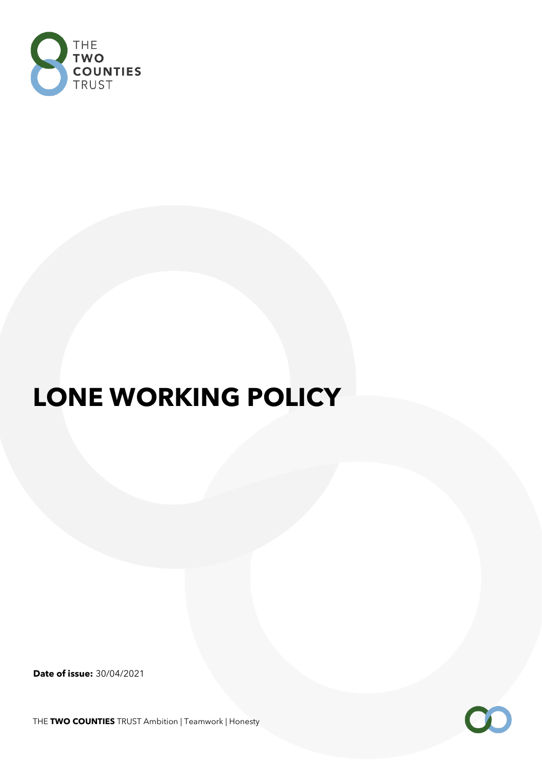

# **LONE WORKING POLICY**

**Date of issue:** 30/04/2021

THE **TWO COUNTIES** TRUST Ambition | Teamwork | Honesty

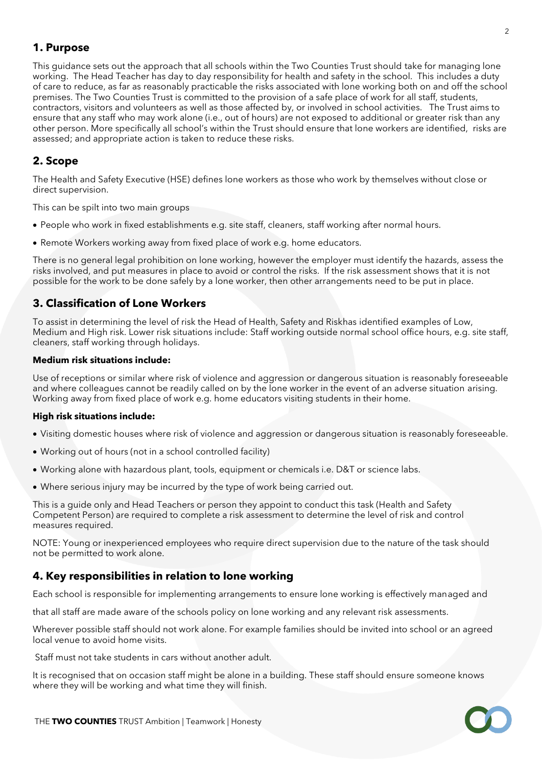# **1. Purpose**

This guidance sets out the approach that all schools within the Two Counties Trust should take for managing lone working. The Head Teacher has day to day responsibility for health and safety in the school. This includes a duty of care to reduce, as far as reasonably practicable the risks associated with lone working both on and off the school premises. The Two Counties Trust is committed to the provision of a safe place of work for all staff, students, contractors, visitors and volunteers as well as those affected by, or involved in school activities. The Trust aims to ensure that any staff who may work alone (i.e., out of hours) are not exposed to additional or greater risk than any other person. More specifically all school's within the Trust should ensure that lone workers are identified, risks are assessed; and appropriate action is taken to reduce these risks.

# **2. Scope**

The Health and Safety Executive (HSE) defines lone workers as those who work by themselves without close or direct supervision.

This can be spilt into two main groups

- People who work in fixed establishments e.g. site staff, cleaners, staff working after normal hours.
- Remote Workers working away from fixed place of work e.g. home educators.

There is no general legal prohibition on lone working, however the employer must identify the hazards, assess the risks involved, and put measures in place to avoid or control the risks. If the risk assessment shows that it is not possible for the work to be done safely by a lone worker, then other arrangements need to be put in place.

# **3. Classification of Lone Workers**

To assist in determining the level of risk the Head of Health, Safety and Riskhas identified examples of Low, Medium and High risk. Lower risk situations include: Staff working outside normal school office hours, e.g. site staff, cleaners, staff working through holidays.

### **Medium risk situations include:**

Use of receptions or similar where risk of violence and aggression or dangerous situation is reasonably foreseeable and where colleagues cannot be readily called on by the lone worker in the event of an adverse situation arising. Working away from fixed place of work e.g. home educators visiting students in their home.

### **High risk situations include:**

- Visiting domestic houses where risk of violence and aggression or dangerous situation is reasonably foreseeable.
- Working out of hours (not in a school controlled facility)
- Working alone with hazardous plant, tools, equipment or chemicals i.e. D&T or science labs.
- Where serious injury may be incurred by the type of work being carried out.

This is a guide only and Head Teachers or person they appoint to conduct this task (Health and Safety Competent Person) are required to complete a risk assessment to determine the level of risk and control measures required.

NOTE: Young or inexperienced employees who require direct supervision due to the nature of the task should not be permitted to work alone.

## **4. Key responsibilities in relation to lone working**

Each school is responsible for implementing arrangements to ensure lone working is effectively managed and

that all staff are made aware of the schools policy on lone working and any relevant risk assessments.

Wherever possible staff should not work alone. For example families should be invited into school or an agreed local venue to avoid home visits.

Staff must not take students in cars without another adult.

It is recognised that on occasion staff might be alone in a building. These staff should ensure someone knows where they will be working and what time they will finish.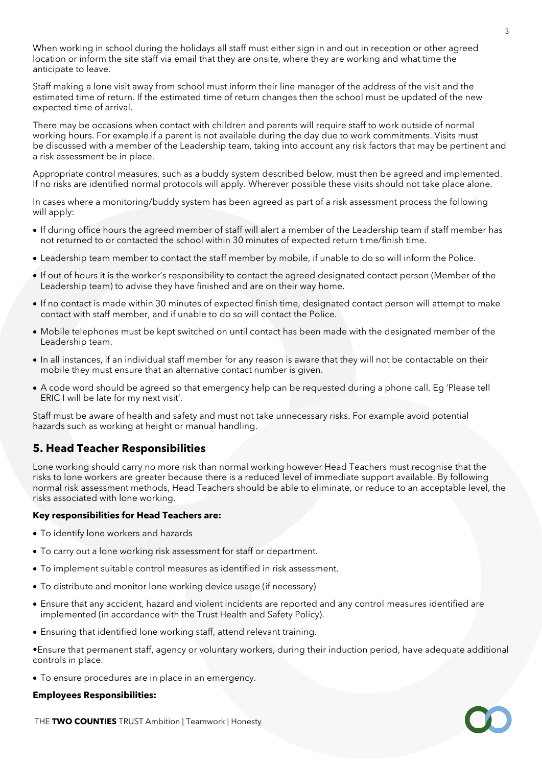When working in school during the holidays all staff must either sign in and out in reception or other agreed location or inform the site staff via email that they are onsite, where they are working and what time the anticipate to leave.

Staff making a lone visit away from school must inform their line manager of the address of the visit and the estimated time of return. If the estimated time of return changes then the school must be updated of the new expected time of arrival.

There may be occasions when contact with children and parents will require staff to work outside of normal working hours. For example if a parent is not available during the day due to work commitments. Visits must be discussed with a member of the Leadership team, taking into account any risk factors that may be pertinent and a risk assessment be in place.

Appropriate control measures, such as a buddy system described below, must then be agreed and implemented. If no risks are identified normal protocols will apply. Wherever possible these visits should not take place alone.

In cases where a monitoring/buddy system has been agreed as part of a risk assessment process the following will apply:

- If during office hours the agreed member of staff will alert a member of the Leadership team if staff member has not returned to or contacted the school within 30 minutes of expected return time/finish time.
- Leadership team member to contact the staff member by mobile, if unable to do so will inform the Police.
- If out of hours it is the worker's responsibility to contact the agreed designated contact person (Member of the Leadership team) to advise they have finished and are on their way home.
- If no contact is made within 30 minutes of expected finish time, designated contact person will attempt to make contact with staff member, and if unable to do so will contact the Police.
- Mobile telephones must be kept switched on until contact has been made with the designated member of the Leadership team.
- In all instances, if an individual staff member for any reason is aware that they will not be contactable on their mobile they must ensure that an alternative contact number is given.
- A code word should be agreed so that emergency help can be requested during a phone call. Eg 'Please tell ERIC I will be late for my next visit'.

Staff must be aware of health and safety and must not take unnecessary risks. For example avoid potential hazards such as working at height or manual handling.

## **5. Head Teacher Responsibilities**

Lone working should carry no more risk than normal working however Head Teachers must recognise that the risks to lone workers are greater because there is a reduced level of immediate support available. By following normal risk assessment methods, Head Teachers should be able to eliminate, or reduce to an acceptable level, the risks associated with lone working.

### **Key responsibilities for Head Teachers are:**

- To identify lone workers and hazards
- To carry out a lone working risk assessment for staff or department.
- To implement suitable control measures as identified in risk assessment.
- To distribute and monitor lone working device usage (if necessary)
- Ensure that any accident, hazard and violent incidents are reported and any control measures identified are implemented (in accordance with the Trust Health and Safety Policy).
- Ensuring that identified lone working staff, attend relevant training.

•Ensure that permanent staff, agency or voluntary workers, during their induction period, have adequate additional controls in place.

• To ensure procedures are in place in an emergency.

### **Employees Responsibilities:**

THE **TWO COUNTIES** TRUST Ambition | Teamwork | Honesty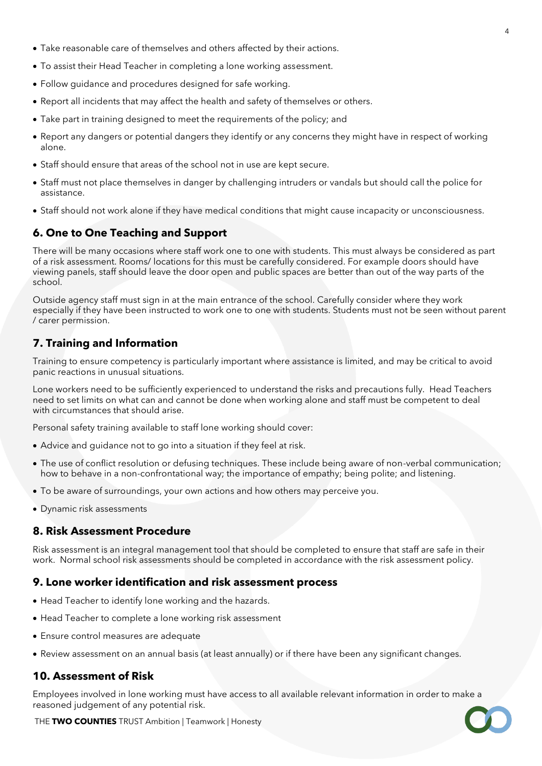- Take reasonable care of themselves and others affected by their actions.
- To assist their Head Teacher in completing a lone working assessment.
- Follow guidance and procedures designed for safe working.
- Report all incidents that may affect the health and safety of themselves or others.
- Take part in training designed to meet the requirements of the policy; and
- Report any dangers or potential dangers they identify or any concerns they might have in respect of working alone.
- Staff should ensure that areas of the school not in use are kept secure.
- Staff must not place themselves in danger by challenging intruders or vandals but should call the police for assistance.
- Staff should not work alone if they have medical conditions that might cause incapacity or unconsciousness.

# **6. One to One Teaching and Support**

There will be many occasions where staff work one to one with students. This must always be considered as part of a risk assessment. Rooms/ locations for this must be carefully considered. For example doors should have viewing panels, staff should leave the door open and public spaces are better than out of the way parts of the school.

Outside agency staff must sign in at the main entrance of the school. Carefully consider where they work especially if they have been instructed to work one to one with students. Students must not be seen without parent / carer permission.

# **7. Training and Information**

Training to ensure competency is particularly important where assistance is limited, and may be critical to avoid panic reactions in unusual situations.

Lone workers need to be sufficiently experienced to understand the risks and precautions fully. Head Teachers need to set limits on what can and cannot be done when working alone and staff must be competent to deal with circumstances that should arise.

Personal safety training available to staff lone working should cover:

- Advice and guidance not to go into a situation if they feel at risk.
- The use of conflict resolution or defusing techniques. These include being aware of non-verbal communication; how to behave in a non-confrontational way; the importance of empathy; being polite; and listening.
- To be aware of surroundings, your own actions and how others may perceive you.
- Dynamic risk assessments

## **8. Risk Assessment Procedure**

Risk assessment is an integral management tool that should be completed to ensure that staff are safe in their work. Normal school risk assessments should be completed in accordance with the risk assessment policy.

## **9. Lone worker identification and risk assessment process**

- Head Teacher to identify lone working and the hazards.
- Head Teacher to complete a lone working risk assessment
- Ensure control measures are adequate
- Review assessment on an annual basis (at least annually) or if there have been any significant changes.

## **10. Assessment of Risk**

Employees involved in lone working must have access to all available relevant information in order to make a reasoned judgement of any potential risk.

THE **TWO COUNTIES** TRUST Ambition | Teamwork | Honesty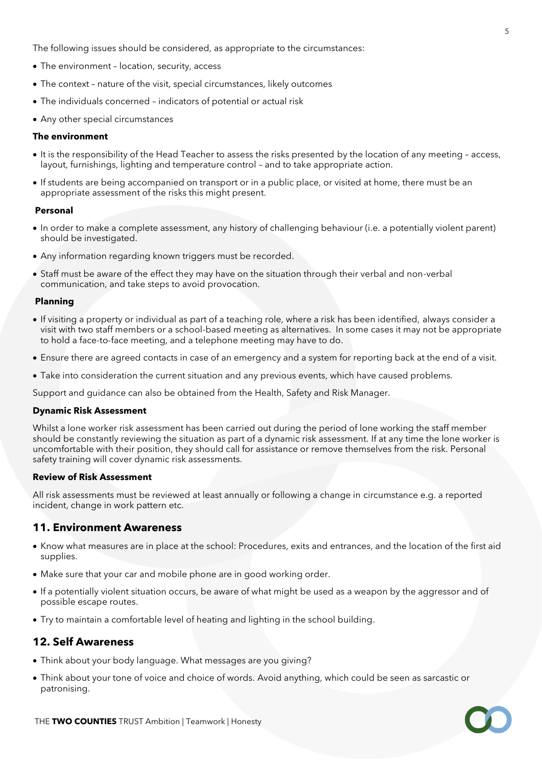The following issues should be considered, as appropriate to the circumstances:

- The environment location, security, access
- The context nature of the visit, special circumstances, likely outcomes
- The individuals concerned indicators of potential or actual risk
- Any other special circumstances

### **The environment**

- It is the responsibility of the Head Teacher to assess the risks presented by the location of any meeting access, layout, furnishings, lighting and temperature control – and to take appropriate action.
- If students are being accompanied on transport or in a public place, or visited at home, there must be an appropriate assessment of the risks this might present.

### **Personal**

- In order to make a complete assessment, any history of challenging behaviour (i.e. a potentially violent parent) should be investigated.
- Any information regarding known triggers must be recorded.
- Staff must be aware of the effect they may have on the situation through their verbal and non-verbal communication, and take steps to avoid provocation.

### **Planning**

- If visiting a property or individual as part of a teaching role, where a risk has been identified, always consider a visit with two staff members or a school-based meeting as alternatives. In some cases it may not be appropriate to hold a face-to-face meeting, and a telephone meeting may have to do.
- Ensure there are agreed contacts in case of an emergency and a system for reporting back at the end of a visit.
- Take into consideration the current situation and any previous events, which have caused problems.

Support and guidance can also be obtained from the Health, Safety and Risk Manager.

### **Dynamic Risk Assessment**

Whilst a lone worker risk assessment has been carried out during the period of lone working the staff member should be constantly reviewing the situation as part of a dynamic risk assessment. If at any time the lone worker is uncomfortable with their position, they should call for assistance or remove themselves from the risk. Personal safety training will cover dynamic risk assessments.

### **Review of Risk Assessment**

All risk assessments must be reviewed at least annually or following a change in circumstance e.g. a reported incident, change in work pattern etc.

### **11. Environment Awareness**

- Know what measures are in place at the school: Procedures, exits and entrances, and the location of the first aid supplies.
- Make sure that your car and mobile phone are in good working order.
- If a potentially violent situation occurs, be aware of what might be used as a weapon by the aggressor and of possible escape routes.
- Try to maintain a comfortable level of heating and lighting in the school building.

### **12. Self Awareness**

- Think about your body language. What messages are you giving?
- Think about your tone of voice and choice of words. Avoid anything, which could be seen as sarcastic or patronising.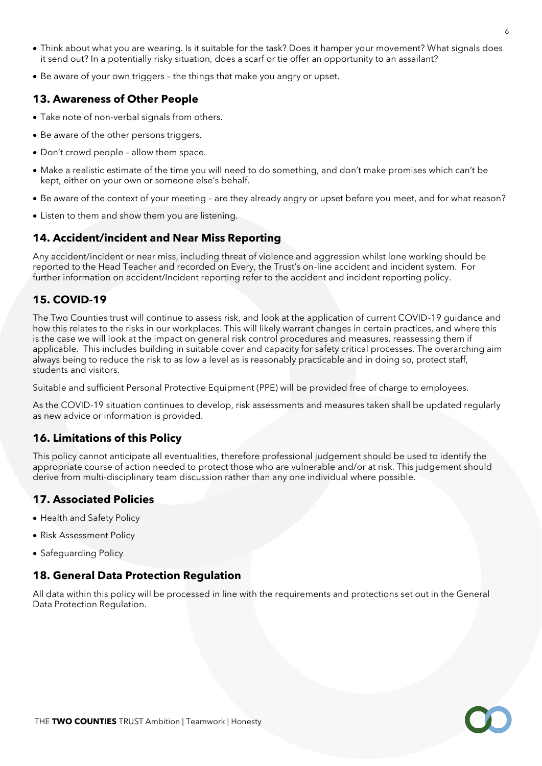- Think about what you are wearing. Is it suitable for the task? Does it hamper your movement? What signals does it send out? In a potentially risky situation, does a scarf or tie offer an opportunity to an assailant?
- Be aware of your own triggers the things that make you angry or upset.

# **13. Awareness of Other People**

- Take note of non-verbal signals from others.
- Be aware of the other persons triggers.
- Don't crowd people allow them space.
- Make a realistic estimate of the time you will need to do something, and don't make promises which can't be kept, either on your own or someone else's behalf.
- Be aware of the context of your meeting are they already angry or upset before you meet, and for what reason?
- Listen to them and show them you are listening.

# **14. Accident/incident and Near Miss Reporting**

Any accident/incident or near miss, including threat of violence and aggression whilst lone working should be reported to the Head Teacher and recorded on Every, the Trust's on-line accident and incident system. For further information on accident/Incident reporting refer to the accident and incident reporting policy.

# **15. COVID-19**

The Two Counties trust will continue to assess risk, and look at the application of current COVID-19 guidance and how this relates to the risks in our workplaces. This will likely warrant changes in certain practices, and where this is the case we will look at the impact on general risk control procedures and measures, reassessing them if applicable. This includes building in suitable cover and capacity for safety critical processes. The overarching aim always being to reduce the risk to as low a level as is reasonably practicable and in doing so, protect staff, students and visitors.

Suitable and sufficient Personal Protective Equipment (PPE) will be provided free of charge to employees.

As the COVID-19 situation continues to develop, risk assessments and measures taken shall be updated regularly as new advice or information is provided.

## **16. Limitations of this Policy**

This policy cannot anticipate all eventualities, therefore professional judgement should be used to identify the appropriate course of action needed to protect those who are vulnerable and/or at risk. This judgement should derive from multi-disciplinary team discussion rather than any one individual where possible.

# **17. Associated Policies**

- Health and Safety Policy
- Risk Assessment Policy
- Safeguarding Policy

## **18. General Data Protection Regulation**

All data within this policy will be processed in line with the requirements and protections set out in the General Data Protection Regulation.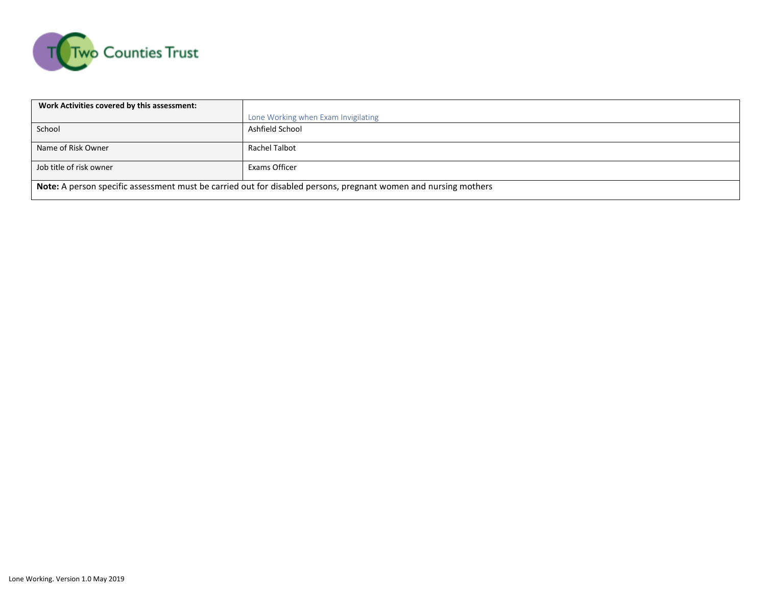

| Work Activities covered by this assessment:                                                                     |                                     |  |  |  |  |  |  |
|-----------------------------------------------------------------------------------------------------------------|-------------------------------------|--|--|--|--|--|--|
|                                                                                                                 | Lone Working when Exam Invigilating |  |  |  |  |  |  |
| School                                                                                                          | Ashfield School                     |  |  |  |  |  |  |
| Name of Risk Owner                                                                                              | Rachel Talbot                       |  |  |  |  |  |  |
| Job title of risk owner                                                                                         | Exams Officer                       |  |  |  |  |  |  |
| Note: A person specific assessment must be carried out for disabled persons, pregnant women and nursing mothers |                                     |  |  |  |  |  |  |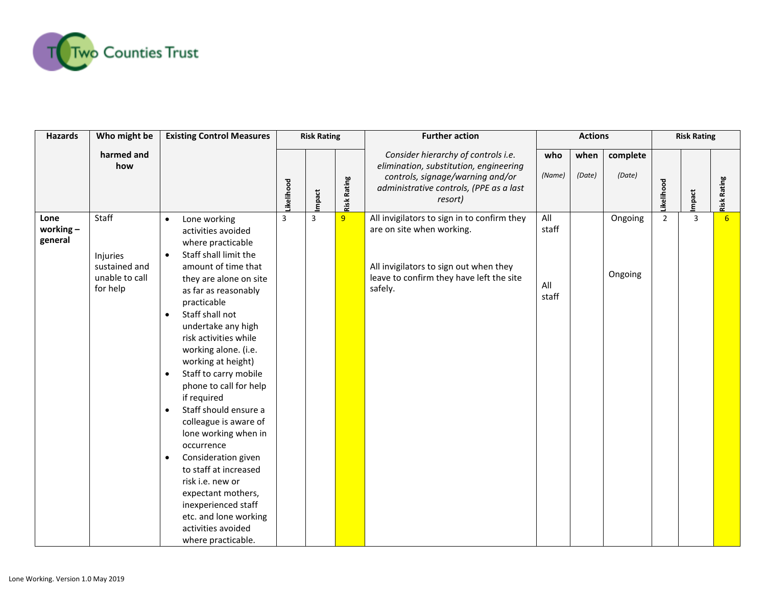

| <b>Hazards</b>                 | Who might be                                                     | <b>Existing Control Measures</b>                                                                                                                                                                                                                                                                                                                                                                                                                                                                                                                                                                                                                                                                                       |                | <b>Risk Rating</b> |                    | <b>Further action</b>                                                                                                                                                     | <b>Actions</b>               |                |                    | <b>Risk Rating</b> |       |                    |
|--------------------------------|------------------------------------------------------------------|------------------------------------------------------------------------------------------------------------------------------------------------------------------------------------------------------------------------------------------------------------------------------------------------------------------------------------------------------------------------------------------------------------------------------------------------------------------------------------------------------------------------------------------------------------------------------------------------------------------------------------------------------------------------------------------------------------------------|----------------|--------------------|--------------------|---------------------------------------------------------------------------------------------------------------------------------------------------------------------------|------------------------------|----------------|--------------------|--------------------|-------|--------------------|
|                                | harmed and<br>how                                                |                                                                                                                                                                                                                                                                                                                                                                                                                                                                                                                                                                                                                                                                                                                        | ikelihood      | mpact              | <b>Risk Rating</b> | Consider hierarchy of controls i.e.<br>elimination, substitution, engineering<br>controls, signage/warning and/or<br>administrative controls, (PPE as a last<br>resort)   | who<br>(Name)                | when<br>(Date) | complete<br>(Date) | .ikelihood         | mpact | <b>Risk Rating</b> |
| Lone<br>working $-$<br>general | Staff<br>Injuries<br>sustained and<br>unable to call<br>for help | Lone working<br>$\bullet$<br>activities avoided<br>where practicable<br>Staff shall limit the<br>$\bullet$<br>amount of time that<br>they are alone on site<br>as far as reasonably<br>practicable<br>Staff shall not<br>$\bullet$<br>undertake any high<br>risk activities while<br>working alone. (i.e.<br>working at height)<br>Staff to carry mobile<br>$\bullet$<br>phone to call for help<br>if required<br>Staff should ensure a<br>$\bullet$<br>colleague is aware of<br>lone working when in<br>occurrence<br>Consideration given<br>$\bullet$<br>to staff at increased<br>risk i.e. new or<br>expectant mothers,<br>inexperienced staff<br>etc. and lone working<br>activities avoided<br>where practicable. | $\overline{3}$ | 3                  | $\overline{9}$     | All invigilators to sign in to confirm they<br>are on site when working.<br>All invigilators to sign out when they<br>leave to confirm they have left the site<br>safely. | All<br>staff<br>All<br>staff |                | Ongoing<br>Ongoing | $\overline{2}$     | 3     | 6                  |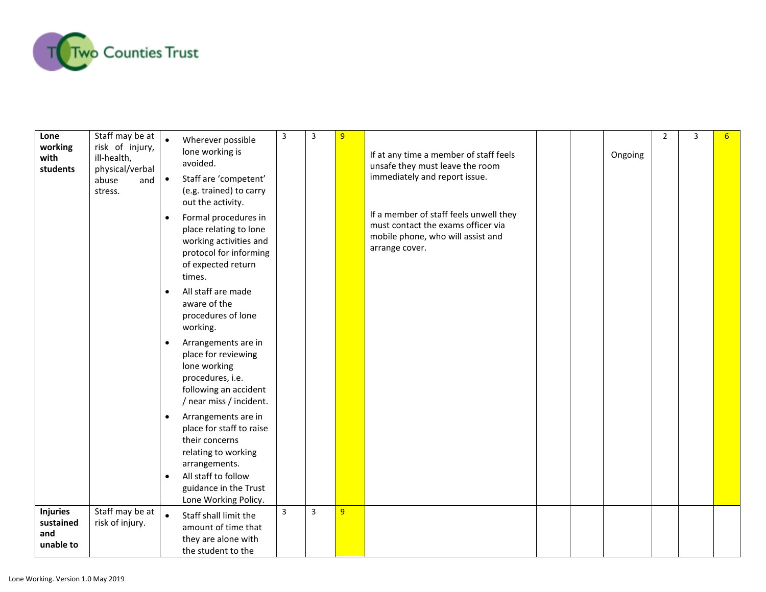

| Lone<br>working<br>with<br>students              | Staff may be at<br>risk of injury,<br>ill-health,<br>physical/verbal<br>abuse<br>and<br>stress. | Wherever possible<br>lone working is<br>avoided.<br>Staff are 'competent'<br>$\bullet$<br>(e.g. trained) to carry<br>out the activity.<br>Formal procedures in<br>$\bullet$<br>place relating to lone<br>working activities and<br>protocol for informing<br>of expected return<br>times.<br>All staff are made<br>$\bullet$<br>aware of the<br>procedures of lone<br>working.<br>Arrangements are in<br>place for reviewing<br>lone working<br>procedures, i.e.<br>following an accident<br>/ near miss / incident.<br>Arrangements are in<br>$\bullet$<br>place for staff to raise<br>their concerns<br>relating to working<br>arrangements.<br>All staff to follow<br>guidance in the Trust | $\overline{3}$ | 3 | 9              | If at any time a member of staff feels<br>unsafe they must leave the room<br>immediately and report issue.<br>If a member of staff feels unwell they<br>must contact the exams officer via<br>mobile phone, who will assist and<br>arrange cover. |  | Ongoing | $\overline{2}$ | 3 |  |
|--------------------------------------------------|-------------------------------------------------------------------------------------------------|------------------------------------------------------------------------------------------------------------------------------------------------------------------------------------------------------------------------------------------------------------------------------------------------------------------------------------------------------------------------------------------------------------------------------------------------------------------------------------------------------------------------------------------------------------------------------------------------------------------------------------------------------------------------------------------------|----------------|---|----------------|---------------------------------------------------------------------------------------------------------------------------------------------------------------------------------------------------------------------------------------------------|--|---------|----------------|---|--|
|                                                  |                                                                                                 | Lone Working Policy.                                                                                                                                                                                                                                                                                                                                                                                                                                                                                                                                                                                                                                                                           |                |   |                |                                                                                                                                                                                                                                                   |  |         |                |   |  |
| <b>Injuries</b><br>sustained<br>and<br>unable to | Staff may be at<br>risk of injury.                                                              | $\bullet$<br>Staff shall limit the<br>amount of time that<br>they are alone with<br>the student to the                                                                                                                                                                                                                                                                                                                                                                                                                                                                                                                                                                                         | $\overline{3}$ | 3 | 9 <sup>°</sup> |                                                                                                                                                                                                                                                   |  |         |                |   |  |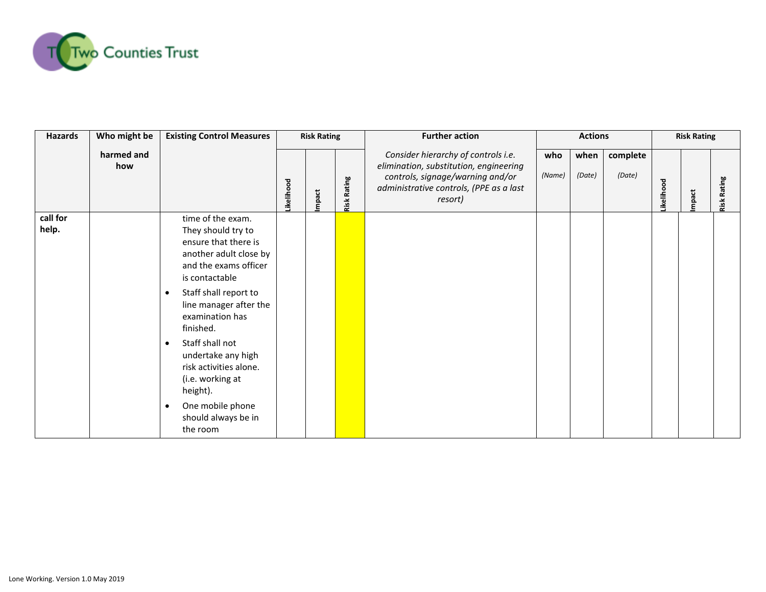

| <b>Hazards</b>    | Who might be      | <b>Existing Control Measures</b>                                                                                                                                                                                                                                                                                                                                                                            | <b>Risk Rating</b> |       |                | <b>Further action</b>                                                                                                                                                   |               | <b>Actions</b> |                    |                  | <b>Risk Rating</b> |                |  |
|-------------------|-------------------|-------------------------------------------------------------------------------------------------------------------------------------------------------------------------------------------------------------------------------------------------------------------------------------------------------------------------------------------------------------------------------------------------------------|--------------------|-------|----------------|-------------------------------------------------------------------------------------------------------------------------------------------------------------------------|---------------|----------------|--------------------|------------------|--------------------|----------------|--|
|                   | harmed and<br>how |                                                                                                                                                                                                                                                                                                                                                                                                             | ikelihood          | mpact | Rating<br>Risk | Consider hierarchy of controls i.e.<br>elimination, substitution, engineering<br>controls, signage/warning and/or<br>administrative controls, (PPE as a last<br>resort) | who<br>(Name) | when<br>(Date) | complete<br>(Date) | <b>ikelihood</b> | mpact              | Rating<br>Risk |  |
| call for<br>help. |                   | time of the exam.<br>They should try to<br>ensure that there is<br>another adult close by<br>and the exams officer<br>is contactable<br>Staff shall report to<br>$\bullet$<br>line manager after the<br>examination has<br>finished.<br>Staff shall not<br>$\bullet$<br>undertake any high<br>risk activities alone.<br>(i.e. working at<br>height).<br>One mobile phone<br>should always be in<br>the room |                    |       |                |                                                                                                                                                                         |               |                |                    |                  |                    |                |  |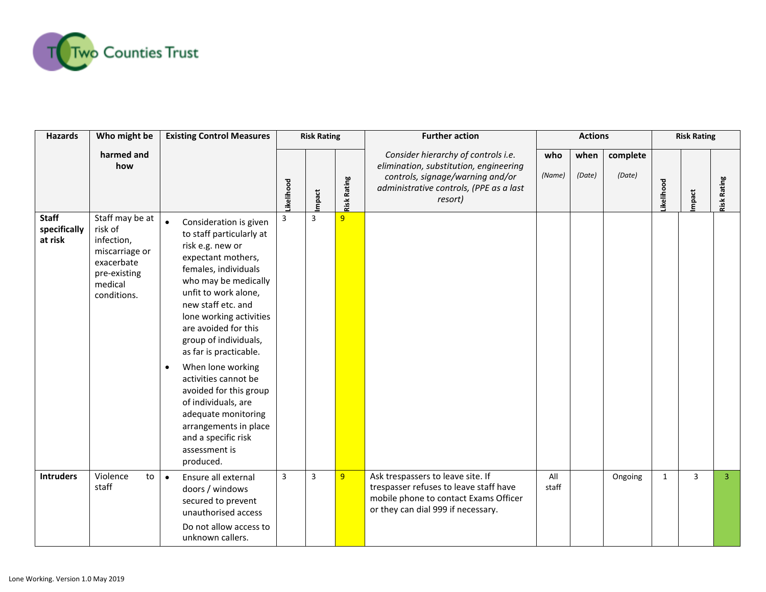

| <b>Hazards</b>                          | Who might be                                                                                                       | <b>Existing Control Measures</b>                                                                                                                                                                                                                                                                                                                                                                                                                                                                                 |                | <b>Risk Rating</b> |                    | <b>Further action</b>                                                                                                                                                   | <b>Actions</b> |                |                    | <b>Risk Rating</b> |                |                    |
|-----------------------------------------|--------------------------------------------------------------------------------------------------------------------|------------------------------------------------------------------------------------------------------------------------------------------------------------------------------------------------------------------------------------------------------------------------------------------------------------------------------------------------------------------------------------------------------------------------------------------------------------------------------------------------------------------|----------------|--------------------|--------------------|-------------------------------------------------------------------------------------------------------------------------------------------------------------------------|----------------|----------------|--------------------|--------------------|----------------|--------------------|
|                                         | harmed and<br>how                                                                                                  |                                                                                                                                                                                                                                                                                                                                                                                                                                                                                                                  | ikelihood      | mpact              | <b>Risk Rating</b> | Consider hierarchy of controls i.e.<br>elimination, substitution, engineering<br>controls, signage/warning and/or<br>administrative controls, (PPE as a last<br>resort) | who<br>(Name)  | when<br>(Date) | complete<br>(Date) | kelihood           | mpact          | <b>Risk Rating</b> |
| <b>Staff</b><br>specifically<br>at risk | Staff may be at<br>risk of<br>infection,<br>miscarriage or<br>exacerbate<br>pre-existing<br>medical<br>conditions. | $\bullet$<br>Consideration is given<br>to staff particularly at<br>risk e.g. new or<br>expectant mothers,<br>females, individuals<br>who may be medically<br>unfit to work alone,<br>new staff etc. and<br>lone working activities<br>are avoided for this<br>group of individuals,<br>as far is practicable.<br>When lone working<br>activities cannot be<br>avoided for this group<br>of individuals, are<br>adequate monitoring<br>arrangements in place<br>and a specific risk<br>assessment is<br>produced. | 3              | $\overline{3}$     | 9                  |                                                                                                                                                                         |                |                |                    |                    |                |                    |
| <b>Intruders</b>                        | Violence<br>to<br>staff                                                                                            | $\bullet$<br>Ensure all external<br>doors / windows<br>secured to prevent<br>unauthorised access<br>Do not allow access to<br>unknown callers.                                                                                                                                                                                                                                                                                                                                                                   | $\overline{3}$ | $\overline{3}$     | 9                  | Ask trespassers to leave site. If<br>trespasser refuses to leave staff have<br>mobile phone to contact Exams Officer<br>or they can dial 999 if necessary.              | All<br>staff   |                | Ongoing            | $\mathbf{1}$       | $\overline{3}$ | $\overline{3}$     |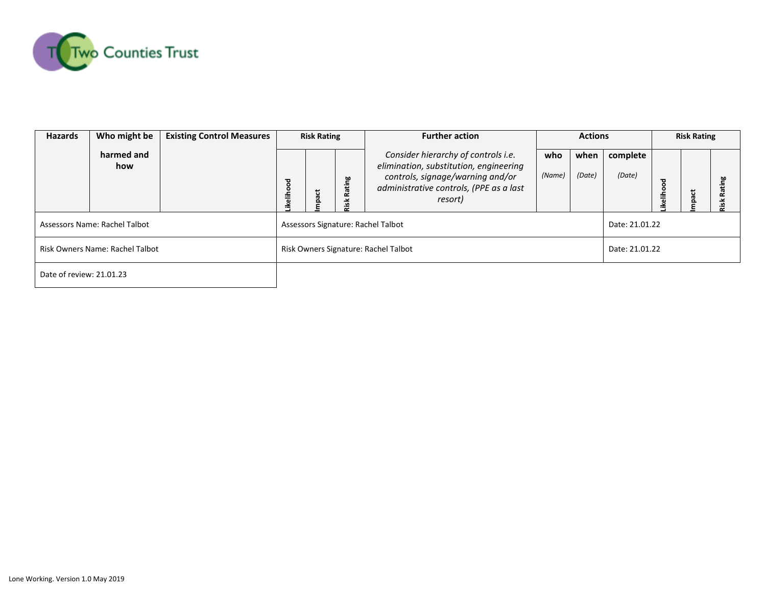

| <b>Hazards</b>                  | Who might be      | <b>Existing Control Measures</b> | <b>Risk Rating</b>                   |      |   | <b>Further action</b>                                                                                                                                                   |               | <b>Actions</b> |                    | <b>Risk Rating</b> |       |                |  |
|---------------------------------|-------------------|----------------------------------|--------------------------------------|------|---|-------------------------------------------------------------------------------------------------------------------------------------------------------------------------|---------------|----------------|--------------------|--------------------|-------|----------------|--|
|                                 | harmed and<br>how |                                  | ह<br>eliho                           | pact | ÷ | Consider hierarchy of controls i.e.<br>elimination, substitution, engineering<br>controls, signage/warning and/or<br>administrative controls, (PPE as a last<br>resort) | who<br>(Name) | when<br>(Date) | complete<br>(Date) | ह<br>칆             | mpact | <b>bo</b><br>œ |  |
| Assessors Name: Rachel Talbot   |                   |                                  | Assessors Signature: Rachel Talbot   |      |   |                                                                                                                                                                         |               |                |                    | Date: 21.01.22     |       |                |  |
| Risk Owners Name: Rachel Talbot |                   |                                  | Risk Owners Signature: Rachel Talbot |      |   |                                                                                                                                                                         |               |                | Date: 21.01.22     |                    |       |                |  |
| Date of review: 21.01.23        |                   |                                  |                                      |      |   |                                                                                                                                                                         |               |                |                    |                    |       |                |  |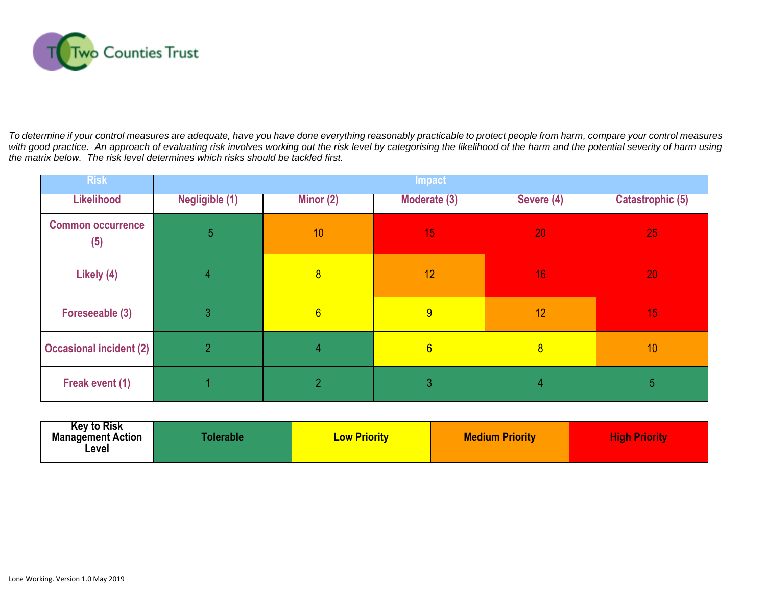

To determine if your control measures are adequate, have you have done everything reasonably practicable to protect people from harm, compare your control measures *with good practice. An approach of evaluating risk involves working out the risk level by categorising the likelihood of the harm and the potential severity of harm using the matrix below. The risk level determines which risks should be tackled first.* 

| <b>Risk</b>                     |                | <b>Impact</b>   |              |                |                         |  |  |  |  |  |  |  |
|---------------------------------|----------------|-----------------|--------------|----------------|-------------------------|--|--|--|--|--|--|--|
| <b>Likelihood</b>               | Negligible (1) | Minor $(2)$     | Moderate (3) | Severe (4)     | <b>Catastrophic (5)</b> |  |  |  |  |  |  |  |
| <b>Common occurrence</b><br>(5) | 5              | 10              | 15           | 20             | 25                      |  |  |  |  |  |  |  |
| Likely (4)                      | $\overline{4}$ | $\overline{8}$  | 12           | 16             | 20                      |  |  |  |  |  |  |  |
| Foreseeable (3)                 | 3              | $6\overline{6}$ | 9            | 12             | 15                      |  |  |  |  |  |  |  |
| <b>Occasional incident (2)</b>  | $\overline{2}$ | $\overline{4}$  | 6            | 8 <sup>2</sup> | 10                      |  |  |  |  |  |  |  |
| Freak event (1)                 |                | $\overline{2}$  | 3            | 4              | 5                       |  |  |  |  |  |  |  |

| <b>Key to Risk</b><br><b>Management Action</b><br>Level | <b>Tolerable</b> | <b>Low Priority</b> | <b>Medium Priority</b> | <b>High Priority</b> |
|---------------------------------------------------------|------------------|---------------------|------------------------|----------------------|
|---------------------------------------------------------|------------------|---------------------|------------------------|----------------------|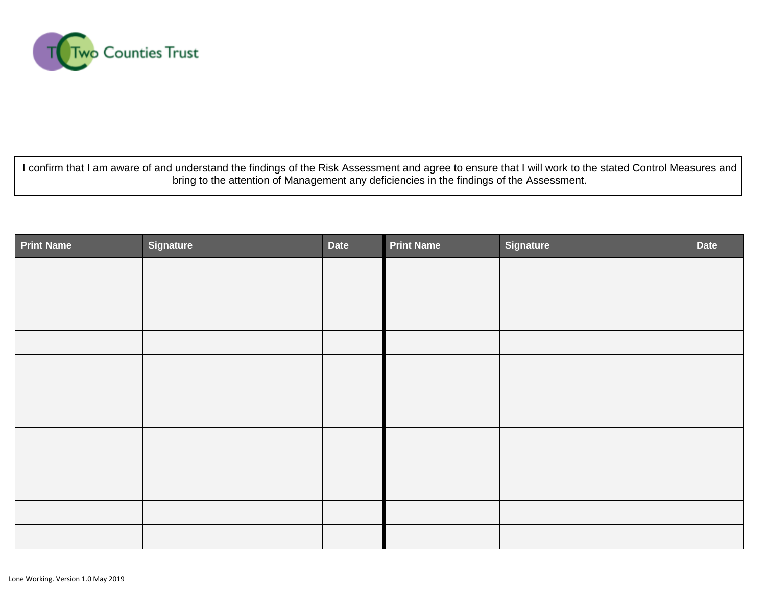

I confirm that I am aware of and understand the findings of the Risk Assessment and agree to ensure that I will work to the stated Control Measures and bring to the attention of Management any deficiencies in the findings of the Assessment.

| <b>Print Name</b> | Signature | <b>Date</b> | <b>Print Name</b> | <b>Signature</b> | Date |
|-------------------|-----------|-------------|-------------------|------------------|------|
|                   |           |             |                   |                  |      |
|                   |           |             |                   |                  |      |
|                   |           |             |                   |                  |      |
|                   |           |             |                   |                  |      |
|                   |           |             |                   |                  |      |
|                   |           |             |                   |                  |      |
|                   |           |             |                   |                  |      |
|                   |           |             |                   |                  |      |
|                   |           |             |                   |                  |      |
|                   |           |             |                   |                  |      |
|                   |           |             |                   |                  |      |
|                   |           |             |                   |                  |      |